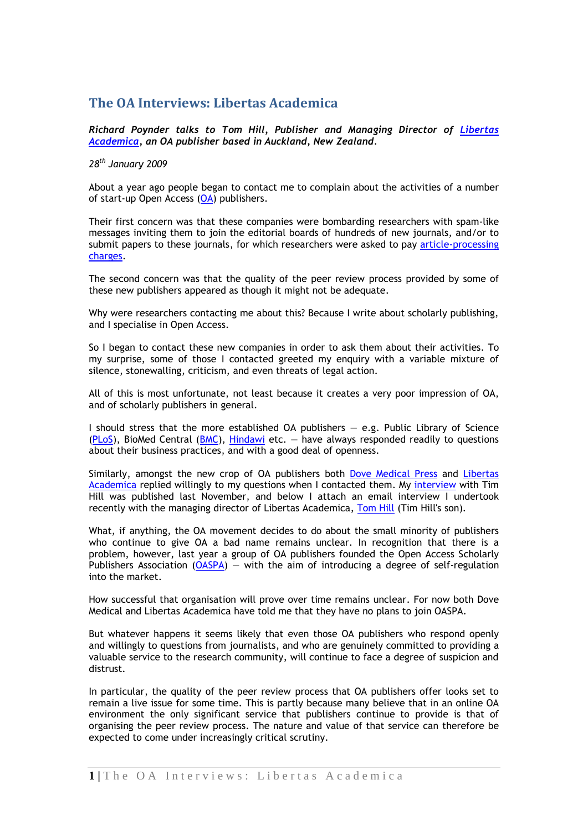# **The OA Interviews: Libertas Academica**

*Richard Poynder talks to Tom Hill, Publisher and Managing Director of [Libertas](http://www.la-press.com/redirect_file.php?fileId=1475&filename=TBI-1-Persinger&fileType=pdf)  [Academica,](http://www.la-press.com/redirect_file.php?fileId=1475&filename=TBI-1-Persinger&fileType=pdf) an OA publisher based in Auckland, New Zealand.*

## *28th January 2009*

About a year ago people began to contact me to complain about the activities of a number of start-up Open Access [\(OA\)](http://en.wikipedia.org/wiki/Open_access_(publishing)) publishers.

Their first concern was that these companies were bombarding researchers with spam-like messages inviting them to join the editorial boards of hundreds of new journals, and/or to submit papers to these journals, for which researchers were asked to pay article-processing [charges.](http://www.biomedcentral.com/info/about/apcfaq)

The second concern was that the quality of the peer review process provided by some of these new publishers appeared as though it might not be adequate.

Why were researchers contacting me about this? Because I write about scholarly publishing, and I specialise in Open Access.

So I began to contact these new companies in order to ask them about their activities. To my surprise, some of those I contacted greeted my enquiry with a variable mixture of silence, stonewalling, criticism, and even threats of legal action.

All of this is most unfortunate, not least because it creates a very poor impression of OA, and of scholarly publishers in general.

I should stress that the more established OA publishers — e.g. Public Library of Science  $(PLoS)$ , BioMed Central  $(BMC)$ , [Hindawi](http://www.hindawi.com/) etc. – have always responded readily to questions about their business practices, and with a good deal of openness.

Similarly, amongst the new crop of OA publishers both [Dove Medical Press](http://www.dovepress.com/) and [Libertas](http://www.la-press.com/redirect_file.php?fileId=1475&filename=TBI-1-Persinger&fileType=pdf)  [Academica](http://www.la-press.com/redirect_file.php?fileId=1475&filename=TBI-1-Persinger&fileType=pdf) replied willingly to my questions when I contacted them. My [interview](http://poynder.blogspot.com/2008/11/open-access-interviews-dove-medical.html) with Tim Hill was published last November, and below I attach an email interview I undertook recently with the managing director of Libertas Academica, [Tom Hill](http://poynder.blogspot.com/2008/11/open-access-interviews-dove-medical.html) (Tim Hill's son).

What, if anything, the OA movement decides to do about the small minority of publishers who continue to give OA a bad name remains unclear. In recognition that there is a problem, however, last year a group of OA publishers founded the Open Access Scholarly Publishers Association ( $OASPA$ ) – with the aim of introducing a degree of self-regulation into the market.

How successful that organisation will prove over time remains unclear. For now both Dove Medical and Libertas Academica have told me that they have no plans to join OASPA.

But whatever happens it seems likely that even those OA publishers who respond openly and willingly to questions from journalists, and who are genuinely committed to providing a valuable service to the research community, will continue to face a degree of suspicion and distrust.

In particular, the quality of the peer review process that OA publishers offer looks set to remain a live issue for some time. This is partly because many believe that in an online OA environment the only significant service that publishers continue to provide is that of organising the peer review process. The nature and value of that service can therefore be expected to come under increasingly critical scrutiny.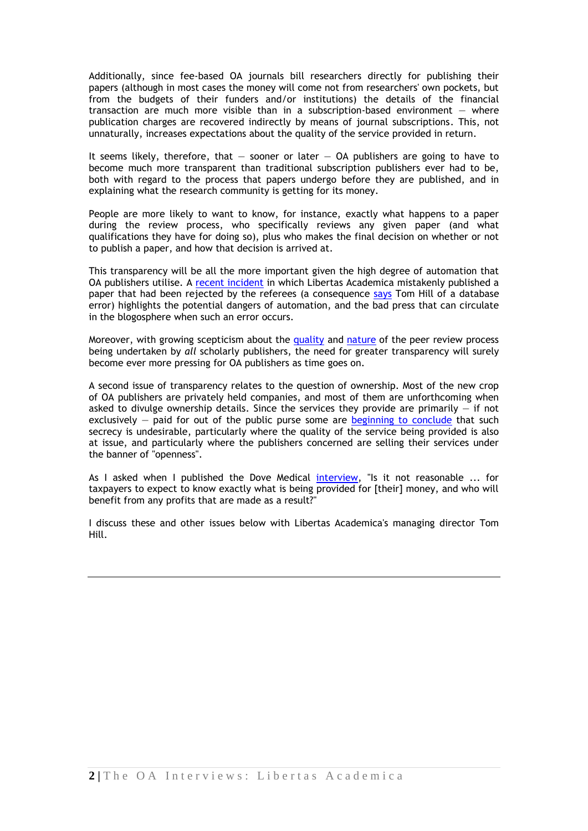Additionally, since fee-based OA journals bill researchers directly for publishing their papers (although in most cases the money will come not from researchers' own pockets, but from the budgets of their funders and/or institutions) the details of the financial transaction are much more visible than in a subscription-based environment — where publication charges are recovered indirectly by means of journal subscriptions. This, not unnaturally, increases expectations about the quality of the service provided in return.

It seems likely, therefore, that  $-$  sooner or later  $-$  OA publishers are going to have to become much more transparent than traditional subscription publishers ever had to be, both with regard to the process that papers undergo before they are published, and in explaining what the research community is getting for its money.

People are more likely to want to know, for instance, exactly what happens to a paper during the review process, who specifically reviews any given paper (and what qualifications they have for doing so), plus who makes the final decision on whether or not to publish a paper, and how that decision is arrived at.

This transparency will be all the more important given the high degree of automation that OA publishers utilise. A [recent incident](http://treethinkers.blogspot.com/2008/10/strange-new-open-access-journals.html?showComment=1232570220000) in which Libertas Academica mistakenly published a paper that had been rejected by the referees (a consequence [says](http://treethinkers.blogspot.com/2008/10/strange-new-open-access-journals.html?showComment=1232570220000#c2323333527895588224) Tom Hill of a database error) highlights the potential dangers of automation, and the bad press that can circulate in the blogosphere when such an error occurs.

Moreover, with growing scepticism about the [quality](http://www.nature.com/news/2008/081126/full/456432a.html) and [nature](http://blogs.sciencemag.org/scienceinsider/2008/12/inside-help-for.html) of the peer review process being undertaken by *all* scholarly publishers, the need for greater transparency will surely become ever more pressing for OA publishers as time goes on.

A second issue of transparency relates to the question of ownership. Most of the new crop of OA publishers are privately held companies, and most of them are unforthcoming when asked to divulge ownership details. Since the services they provide are primarily  $-$  if not exclusively  $-$  paid for out of the public purse some are [beginning to conclude](http://www.library.yale.edu/~llicense/ListArchives/0811/msg00058.html) that such secrecy is undesirable, particularly where the quality of the service being provided is also at issue, and particularly where the publishers concerned are selling their services under the banner of "openness".

As I asked when I published the Dove Medical [interview,](http://poynder.blogspot.com/2008/11/open-access-interviews-dove-medical.html) "Is it not reasonable ... for taxpayers to expect to know exactly what is being provided for [their] money, and who will benefit from any profits that are made as a result?"

I discuss these and other issues below with Libertas Academica's managing director Tom Hill.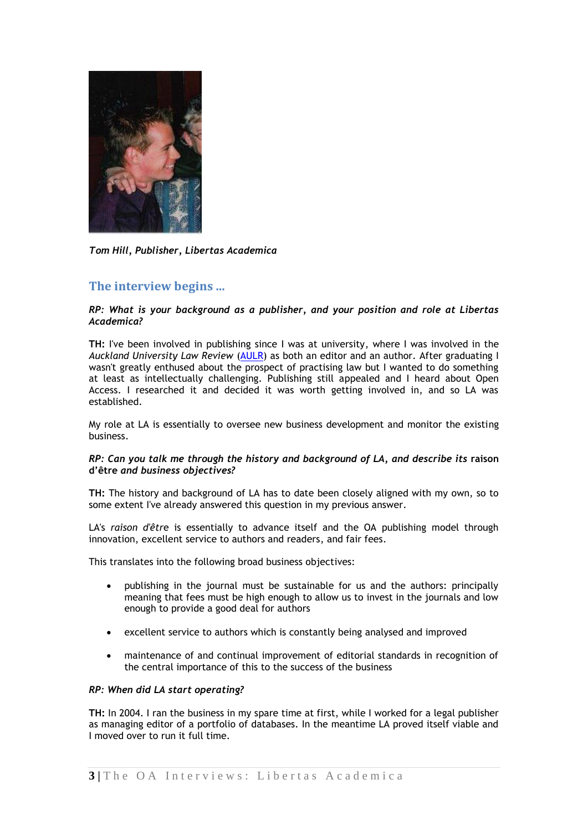

*Tom Hill, Publisher, Libertas Academica*

## **The interview begins ...**

## *RP: What is your background as a publisher, and your position and role at Libertas Academica?*

**TH:** I've been involved in publishing since I was at university, where I was involved in the *Auckland University Law Review* [\(AULR\)](http://aulr.auckland.ac.nz/) as both an editor and an author. After graduating I wasn't greatly enthused about the prospect of practising law but I wanted to do something at least as intellectually challenging. Publishing still appealed and I heard about Open Access. I researched it and decided it was worth getting involved in, and so LA was established.

My role at LA is essentially to oversee new business development and monitor the existing business.

## *RP: Can you talk me through the history and background of LA, and describe its* **raison d'être** *and business objectives?*

**TH:** The history and background of LA has to date been closely aligned with my own, so to some extent I've already answered this question in my previous answer.

LA's *raison d'êtr*e is essentially to advance itself and the OA publishing model through innovation, excellent service to authors and readers, and fair fees.

This translates into the following broad business objectives:

- publishing in the journal must be sustainable for us and the authors: principally meaning that fees must be high enough to allow us to invest in the journals and low enough to provide a good deal for authors
- excellent service to authors which is constantly being analysed and improved
- maintenance of and continual improvement of editorial standards in recognition of the central importance of this to the success of the business

#### *RP: When did LA start operating?*

**TH:** In 2004. I ran the business in my spare time at first, while I worked for a legal publisher as managing editor of a portfolio of databases. In the meantime LA proved itself viable and I moved over to run it full time.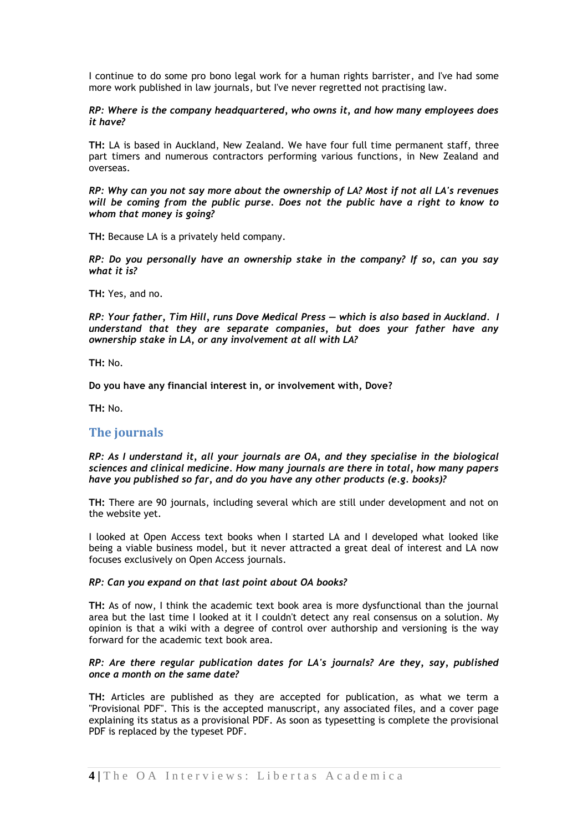I continue to do some pro bono legal work for a human rights barrister, and I've had some more work published in law journals, but I've never regretted not practising law.

*RP: Where is the company headquartered, who owns it, and how many employees does it have?*

**TH:** LA is based in Auckland, New Zealand. We have four full time permanent staff, three part timers and numerous contractors performing various functions, in New Zealand and overseas.

*RP: Why can you not say more about the ownership of LA? Most if not all LA's revenues will be coming from the public purse. Does not the public have a right to know to whom that money is going?*

**TH:** Because LA is a privately held company.

*RP: Do you personally have an ownership stake in the company? If so, can you say what it is?*

**TH:** Yes, and no.

*RP: Your father, Tim Hill, runs Dove Medical Press — which is also based in Auckland. I understand that they are separate companies, but does your father have any ownership stake in LA, or any involvement at all with LA?* 

**TH:** No.

**Do you have any financial interest in, or involvement with, Dove?** 

**TH:** No.

## **The journals**

*RP: As I understand it, all your journals are OA, and they specialise in the biological sciences and clinical medicine. How many journals are there in total, how many papers have you published so far, and do you have any other products (e.g. books)?* 

**TH:** There are 90 journals, including several which are still under development and not on the website yet.

I looked at Open Access text books when I started LA and I developed what looked like being a viable business model, but it never attracted a great deal of interest and LA now focuses exclusively on Open Access journals.

#### *RP: Can you expand on that last point about OA books?*

**TH:** As of now, I think the academic text book area is more dysfunctional than the journal area but the last time I looked at it I couldn't detect any real consensus on a solution. My opinion is that a wiki with a degree of control over authorship and versioning is the way forward for the academic text book area.

#### *RP: Are there regular publication dates for LA's journals? Are they, say, published once a month on the same date?*

**TH:** Articles are published as they are accepted for publication, as what we term a "Provisional PDF". This is the accepted manuscript, any associated files, and a cover page explaining its status as a provisional PDF. As soon as typesetting is complete the provisional PDF is replaced by the typeset PDF.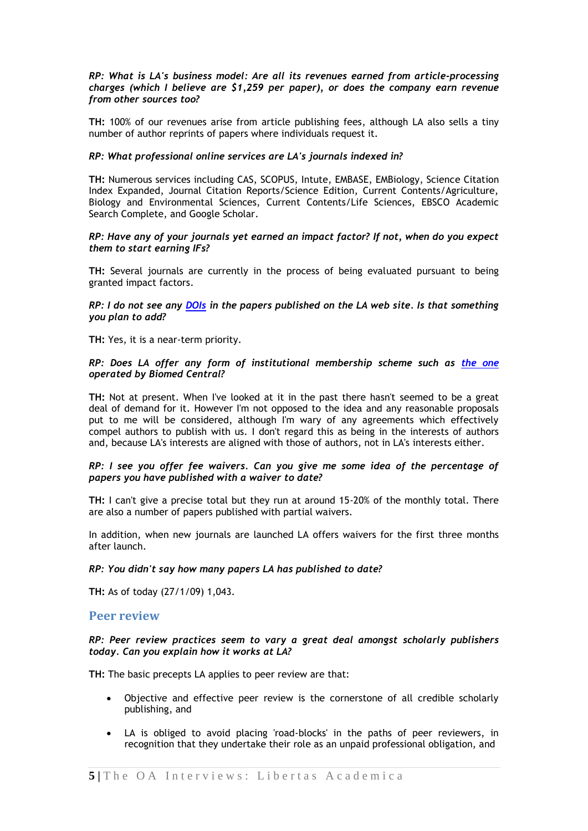### *RP: What is LA's business model: Are all its revenues earned from article-processing charges (which I believe are \$1,259 per paper), or does the company earn revenue from other sources too?*

**TH:** 100% of our revenues arise from article publishing fees, although LA also sells a tiny number of author reprints of papers where individuals request it.

## *RP: What professional online services are LA's journals indexed in?*

**TH:** Numerous services including CAS, SCOPUS, Intute, EMBASE, EMBiology, Science Citation Index Expanded, Journal Citation Reports/Science Edition, Current Contents/Agriculture, Biology and Environmental Sciences, Current Contents/Life Sciences, EBSCO Academic Search Complete, and Google Scholar.

#### *RP: Have any of your journals yet earned an impact factor? If not, when do you expect them to start earning IFs?*

**TH:** Several journals are currently in the process of being evaluated pursuant to being granted impact factors.

#### *RP: I do not see any [DOIs](http://en.wikipedia.org/wiki/Digital_object_identifier) in the papers published on the LA web site. Is that something you plan to add?*

**TH:** Yes, it is a near-term priority.

## *RP: Does LA offer any form of institutional membership scheme such as [the one](http://www.biomedcentral.com/info/about/instmembership) operated by Biomed Central?*

**TH:** Not at present. When I've looked at it in the past there hasn't seemed to be a great deal of demand for it. However I'm not opposed to the idea and any reasonable proposals put to me will be considered, although I'm wary of any agreements which effectively compel authors to publish with us. I don't regard this as being in the interests of authors and, because LA's interests are aligned with those of authors, not in LA's interests either.

## *RP: I see you offer fee waivers. Can you give me some idea of the percentage of papers you have published with a waiver to date?*

**TH:** I can't give a precise total but they run at around 15-20% of the monthly total. There are also a number of papers published with partial waivers.

In addition, when new journals are launched LA offers waivers for the first three months after launch.

## *RP: You didn't say how many papers LA has published to date?*

**TH:** As of today (27/1/09) 1,043.

## **Peer review**

## *RP: Peer review practices seem to vary a great deal amongst scholarly publishers today. Can you explain how it works at LA?*

**TH:** The basic precepts LA applies to peer review are that:

- Objective and effective peer review is the cornerstone of all credible scholarly publishing, and
- LA is obliged to avoid placing 'road-blocks' in the paths of peer reviewers, in recognition that they undertake their role as an unpaid professional obligation, and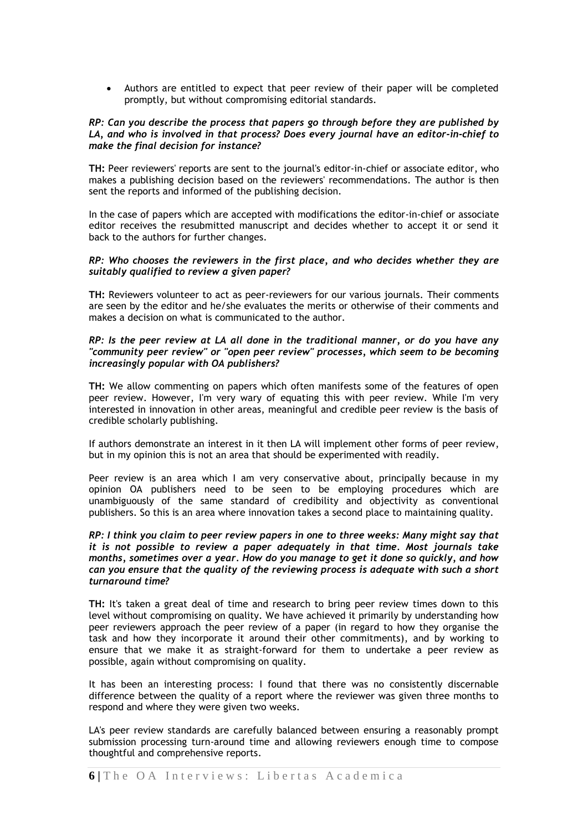Authors are entitled to expect that peer review of their paper will be completed promptly, but without compromising editorial standards.

#### *RP: Can you describe the process that papers go through before they are published by LA, and who is involved in that process? Does every journal have an editor-in-chief to make the final decision for instance?*

**TH:** Peer reviewers' reports are sent to the journal's editor-in-chief or associate editor, who makes a publishing decision based on the reviewers' recommendations. The author is then sent the reports and informed of the publishing decision.

In the case of papers which are accepted with modifications the editor-in-chief or associate editor receives the resubmitted manuscript and decides whether to accept it or send it back to the authors for further changes.

#### *RP: Who chooses the reviewers in the first place, and who decides whether they are suitably qualified to review a given paper?*

**TH:** Reviewers volunteer to act as peer-reviewers for our various journals. Their comments are seen by the editor and he/she evaluates the merits or otherwise of their comments and makes a decision on what is communicated to the author.

#### *RP: Is the peer review at LA all done in the traditional manner, or do you have any "community peer review" or "open peer review" processes, which seem to be becoming increasingly popular with OA publishers?*

**TH:** We allow commenting on papers which often manifests some of the features of open peer review. However, I'm very wary of equating this with peer review. While I'm very interested in innovation in other areas, meaningful and credible peer review is the basis of credible scholarly publishing.

If authors demonstrate an interest in it then LA will implement other forms of peer review, but in my opinion this is not an area that should be experimented with readily.

Peer review is an area which I am very conservative about, principally because in my opinion OA publishers need to be seen to be employing procedures which are unambiguously of the same standard of credibility and objectivity as conventional publishers. So this is an area where innovation takes a second place to maintaining quality.

### *RP: I think you claim to peer review papers in one to three weeks: Many might say that it is not possible to review a paper adequately in that time. Most journals take months, sometimes over a year. How do you manage to get it done so quickly, and how can you ensure that the quality of the reviewing process is adequate with such a short turnaround time?*

**TH:** It's taken a great deal of time and research to bring peer review times down to this level without compromising on quality. We have achieved it primarily by understanding how peer reviewers approach the peer review of a paper (in regard to how they organise the task and how they incorporate it around their other commitments), and by working to ensure that we make it as straight-forward for them to undertake a peer review as possible, again without compromising on quality.

It has been an interesting process: I found that there was no consistently discernable difference between the quality of a report where the reviewer was given three months to respond and where they were given two weeks.

LA's peer review standards are carefully balanced between ensuring a reasonably prompt submission processing turn-around time and allowing reviewers enough time to compose thoughtful and comprehensive reports.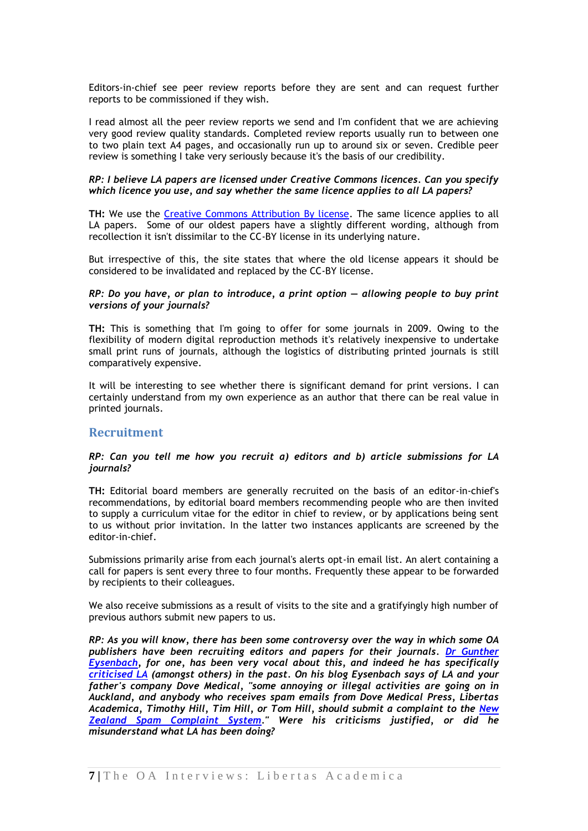Editors-in-chief see peer review reports before they are sent and can request further reports to be commissioned if they wish.

I read almost all the peer review reports we send and I'm confident that we are achieving very good review quality standards. Completed review reports usually run to between one to two plain text A4 pages, and occasionally run up to around six or seven. Credible peer review is something I take very seriously because it's the basis of our credibility.

#### *RP: I believe LA papers are licensed under Creative Commons licences. Can you specify which licence you use, and say whether the same licence applies to all LA papers?*

**TH:** We use the [Creative Commons Attribution By license.](http://creativecommons.org/licenses/by/2.0/) The same licence applies to all LA papers. Some of our oldest papers have a slightly different wording, although from recollection it isn't dissimilar to the CC-BY license in its underlying nature.

But irrespective of this, the site states that where the old license appears it should be considered to be invalidated and replaced by the CC-BY license.

#### *RP: Do you have, or plan to introduce, a print option — allowing people to buy print versions of your journals?*

**TH:** This is something that I'm going to offer for some journals in 2009. Owing to the flexibility of modern digital reproduction methods it's relatively inexpensive to undertake small print runs of journals, although the logistics of distributing printed journals is still comparatively expensive.

It will be interesting to see whether there is significant demand for print versions. I can certainly understand from my own experience as an author that there can be real value in printed journals.

## **Recruitment**

#### *RP: Can you tell me how you recruit a) editors and b) article submissions for LA journals?*

**TH:** Editorial board members are generally recruited on the basis of an editor-in-chief's recommendations, by editorial board members recommending people who are then invited to supply a curriculum vitae for the editor in chief to review, or by applications being sent to us without prior invitation. In the latter two instances applicants are screened by the editor-in-chief.

Submissions primarily arise from each journal's alerts opt-in email list. An alert containing a call for papers is sent every three to four months. Frequently these appear to be forwarded by recipients to their colleagues.

We also receive submissions as a result of visits to the site and a gratifyingly high number of previous authors submit new papers to us.

*RP: As you will know, there has been some controversy over the way in which some OA publishers have been recruiting editors and papers for their journals. Dr [Gunther](http://en.wikipedia.org/wiki/Gunther_Eysenbach)  [Eysenbach,](http://en.wikipedia.org/wiki/Gunther_Eysenbach) for one, has been very vocal about this, and indeed he has specifically [criticised LA](http://gunther-eysenbach.blogspot.com/2008/07/dove-medical-press-and-libertas.html) (amongst others) in the past. On his blog Eysenbach says of LA and your father's company Dove Medical, "some annoying or illegal activities are going on in Auckland, and anybody who receives spam emails from Dove Medical Press, Libertas Academica, Timothy Hill, Tim Hill, or Tom Hill, should submit a complaint to the [New](http://complaints.antispam.govt.nz/)  [Zealand Spam Complaint System.](http://complaints.antispam.govt.nz/)" Were his criticisms justified, or did he misunderstand what LA has been doing?*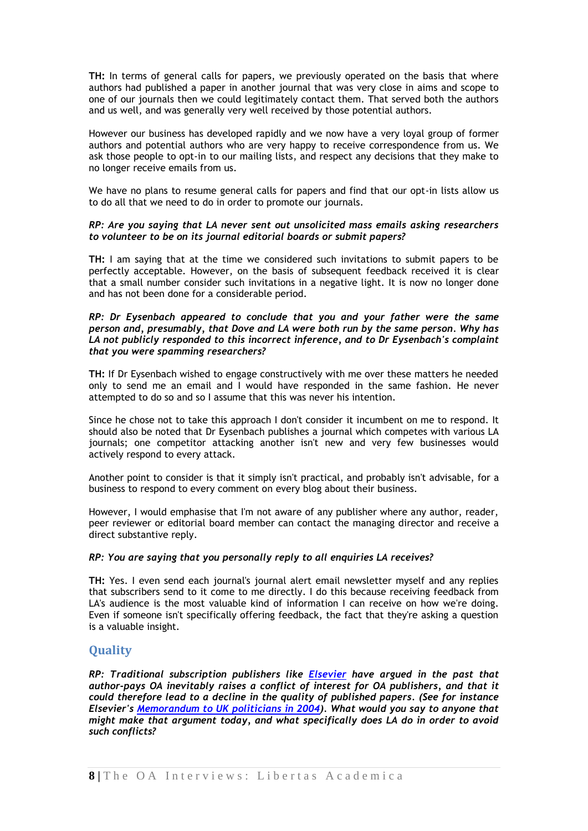**TH:** In terms of general calls for papers, we previously operated on the basis that where authors had published a paper in another journal that was very close in aims and scope to one of our journals then we could legitimately contact them. That served both the authors and us well, and was generally very well received by those potential authors.

However our business has developed rapidly and we now have a very loyal group of former authors and potential authors who are very happy to receive correspondence from us. We ask those people to opt-in to our mailing lists, and respect any decisions that they make to no longer receive emails from us.

We have no plans to resume general calls for papers and find that our opt-in lists allow us to do all that we need to do in order to promote our journals.

#### *RP: Are you saying that LA never sent out unsolicited mass emails asking researchers to volunteer to be on its journal editorial boards or submit papers?*

**TH:** I am saying that at the time we considered such invitations to submit papers to be perfectly acceptable. However, on the basis of subsequent feedback received it is clear that a small number consider such invitations in a negative light. It is now no longer done and has not been done for a considerable period.

#### *RP: Dr Eysenbach appeared to conclude that you and your father were the same person and, presumably, that Dove and LA were both run by the same person. Why has LA not publicly responded to this incorrect inference, and to Dr Eysenbach's complaint that you were spamming researchers?*

**TH:** If Dr Eysenbach wished to engage constructively with me over these matters he needed only to send me an email and I would have responded in the same fashion. He never attempted to do so and so I assume that this was never his intention.

Since he chose not to take this approach I don't consider it incumbent on me to respond. It should also be noted that Dr Eysenbach publishes a journal which competes with various LA journals; one competitor attacking another isn't new and very few businesses would actively respond to every attack.

Another point to consider is that it simply isn't practical, and probably isn't advisable, for a business to respond to every comment on every blog about their business.

However, I would emphasise that I'm not aware of any publisher where any author, reader, peer reviewer or editorial board member can contact the managing director and receive a direct substantive reply.

## *RP: You are saying that you personally reply to all enquiries LA receives?*

**TH:** Yes. I even send each journal's journal alert email newsletter myself and any replies that subscribers send to it come to me directly. I do this because receiving feedback from LA's audience is the most valuable kind of information I can receive on how we're doing. Even if someone isn't specifically offering feedback, the fact that they're asking a question is a valuable insight.

## **Quality**

*RP: Traditional subscription publishers like [Elsevier](http://www.elsevier.com/wps/find/homepage.cws_home) have argued in the past that author-pays OA inevitably raises a conflict of interest for OA publishers, and that it could therefore lead to a decline in the quality of published papers. (See for instance Elsevier's [Memorandum to UK politicians in 2004\)](http://www.publications.parliament.uk/pa/cm200304/cmselect/cmsctech/399/399we57.htm). What would you say to anyone that might make that argument today, and what specifically does LA do in order to avoid such conflicts?*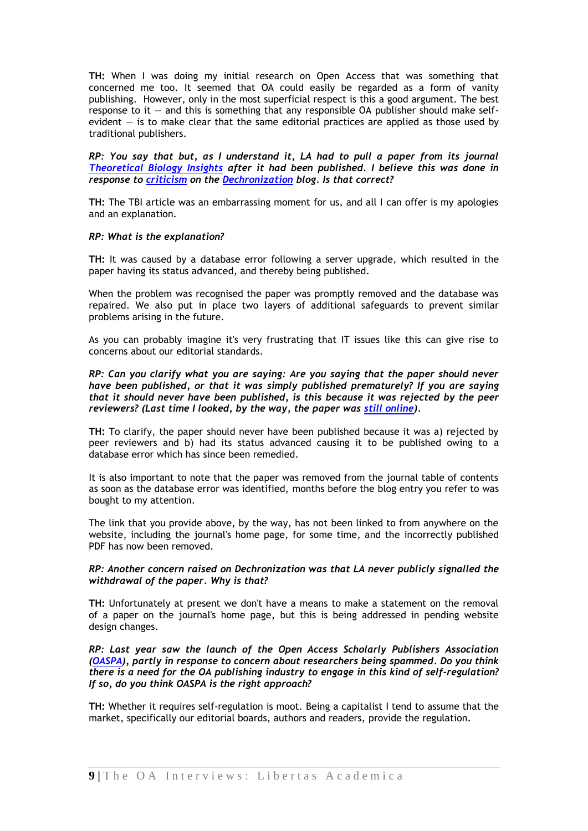**TH:** When I was doing my initial research on Open Access that was something that concerned me too. It seemed that OA could easily be regarded as a form of vanity publishing. However, only in the most superficial respect is this a good argument. The best response to it  $-$  and this is something that any responsible OA publisher should make selfevident  $-$  is to make clear that the same editorial practices are applied as those used by traditional publishers.

*RP: You say that but, as I understand it, LA had to pull a paper from its journal [Theoretical Biology Insights](http://www.la-press.com/theoretical-biology-insights-journal-j107) after it had been published. I believe this was done in response to [criticism](http://treethinkers.blogspot.com/2008/10/strange-new-open-access-journals.html?showComment=1232570220000#c2323333527895588224) on the [Dechronization](http://treethinkers.blogspot.com/) blog. Is that correct?*

**TH:** The TBI article was an embarrassing moment for us, and all I can offer is my apologies and an explanation.

#### *RP: What is the explanation?*

**TH:** It was caused by a database error following a server upgrade, which resulted in the paper having its status advanced, and thereby being published.

When the problem was recognised the paper was promptly removed and the database was repaired. We also put in place two layers of additional safeguards to prevent similar problems arising in the future.

As you can probably imagine it's very frustrating that IT issues like this can give rise to concerns about our editorial standards.

*RP: Can you clarify what you are saying: Are you saying that the paper should never have been published, or that it was simply published prematurely? If you are saying that it should never have been published, is this because it was rejected by the peer reviewers? (Last time I looked, by the way, the paper was [still online\)](http://www.la-press.com/redirect_file.php?fileId=1475&filename=TBI-1-Persinger&fileType=pdf).*

**TH:** To clarify, the paper should never have been published because it was a) rejected by peer reviewers and b) had its status advanced causing it to be published owing to a database error which has since been remedied.

It is also important to note that the paper was removed from the journal table of contents as soon as the database error was identified, months before the blog entry you refer to was bought to my attention.

The link that you provide above, by the way, has not been linked to from anywhere on the website, including the journal's home page, for some time, and the incorrectly published PDF has now been removed.

## *RP: Another concern raised on Dechronization was that LA never publicly signalled the withdrawal of the paper. Why is that?*

**TH:** Unfortunately at present we don't have a means to make a statement on the removal of a paper on the journal's home page, but this is being addressed in pending website design changes.

*RP: Last year saw the launch of the Open Access Scholarly Publishers Association [\(OASPA\)](http://www.oaspa.org/), partly in response to concern about researchers being spammed. Do you think there is a need for the OA publishing industry to engage in this kind of self-regulation? If so, do you think OASPA is the right approach?*

**TH:** Whether it requires self-regulation is moot. Being a capitalist I tend to assume that the market, specifically our editorial boards, authors and readers, provide the regulation.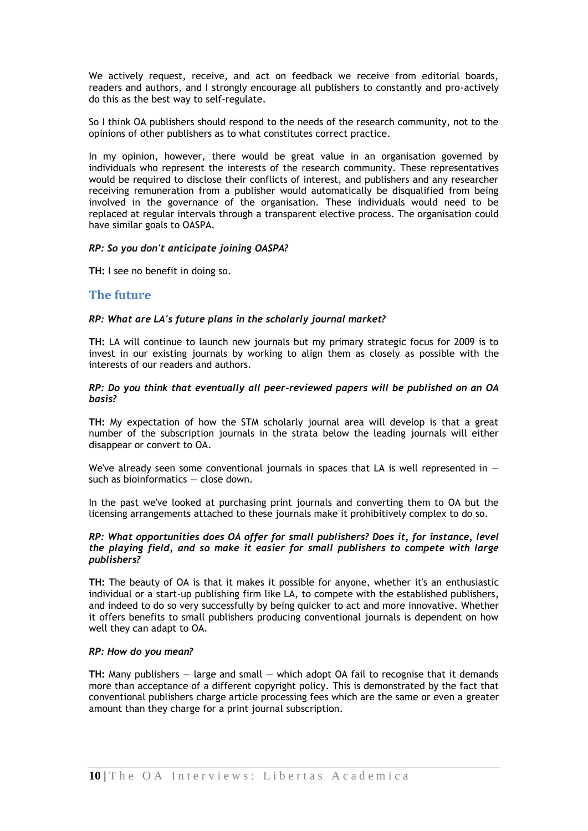We actively request, receive, and act on feedback we receive from editorial boards, readers and authors, and I strongly encourage all publishers to constantly and pro-actively do this as the best way to self-regulate.

So I think OA publishers should respond to the needs of the research community, not to the opinions of other publishers as to what constitutes correct practice.

In my opinion, however, there would be great value in an organisation governed by individuals who represent the interests of the research community. These representatives would be required to disclose their conflicts of interest, and publishers and any researcher receiving remuneration from a publisher would automatically be disqualified from being involved in the governance of the organisation. These individuals would need to be replaced at regular intervals through a transparent elective process. The organisation could have similar goals to OASPA.

#### *RP: So you don't anticipate joining OASPA?*

**TH:** I see no benefit in doing so.

## **The future**

#### *RP: What are LA's future plans in the scholarly journal market?*

**TH:** LA will continue to launch new journals but my primary strategic focus for 2009 is to invest in our existing journals by working to align them as closely as possible with the interests of our readers and authors.

#### *RP: Do you think that eventually all peer-reviewed papers will be published on an OA basis?*

**TH:** My expectation of how the STM scholarly journal area will develop is that a great number of the subscription journals in the strata below the leading journals will either disappear or convert to OA.

We've already seen some conventional journals in spaces that LA is well represented in  $$ such as bioinformatics — close down.

In the past we've looked at purchasing print journals and converting them to OA but the licensing arrangements attached to these journals make it prohibitively complex to do so.

#### *RP: What opportunities does OA offer for small publishers? Does it, for instance, level the playing field, and so make it easier for small publishers to compete with large publishers?*

**TH:** The beauty of OA is that it makes it possible for anyone, whether it's an enthusiastic individual or a start-up publishing firm like LA, to compete with the established publishers, and indeed to do so very successfully by being quicker to act and more innovative. Whether it offers benefits to small publishers producing conventional journals is dependent on how well they can adapt to OA.

#### *RP: How do you mean?*

**TH:** Many publishers — large and small — which adopt OA fail to recognise that it demands more than acceptance of a different copyright policy. This is demonstrated by the fact that conventional publishers charge article processing fees which are the same or even a greater amount than they charge for a print journal subscription.